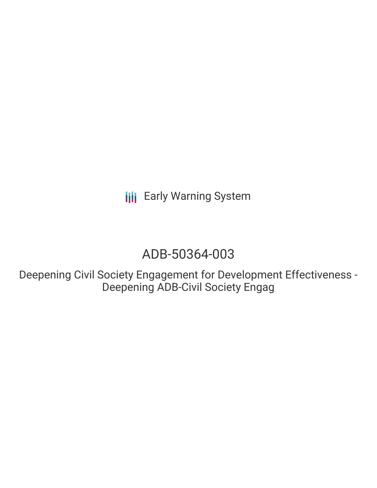**III** Early Warning System

# ADB-50364-003

Deepening Civil Society Engagement for Development Effectiveness - Deepening ADB-Civil Society Engag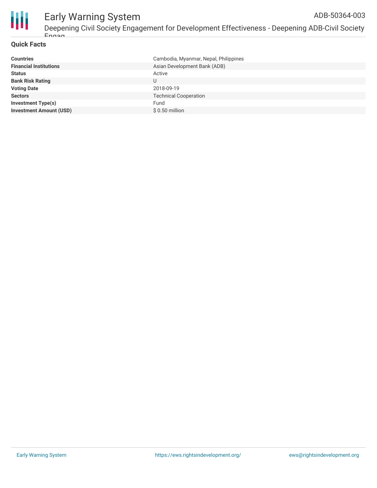

# Early Warning System

Deepening Civil Society Engagement for Development Effectiveness - Deepening ADB-Civil Society Engag ADB-50364-003

#### **Quick Facts**

| <b>Countries</b>               | Cambodia, Myanmar, Nepal, Philippines |
|--------------------------------|---------------------------------------|
| <b>Financial Institutions</b>  | Asian Development Bank (ADB)          |
| <b>Status</b>                  | Active                                |
| <b>Bank Risk Rating</b>        | U                                     |
| <b>Voting Date</b>             | 2018-09-19                            |
| <b>Sectors</b>                 | <b>Technical Cooperation</b>          |
| <b>Investment Type(s)</b>      | Fund                                  |
| <b>Investment Amount (USD)</b> | $$0.50$ million                       |
|                                |                                       |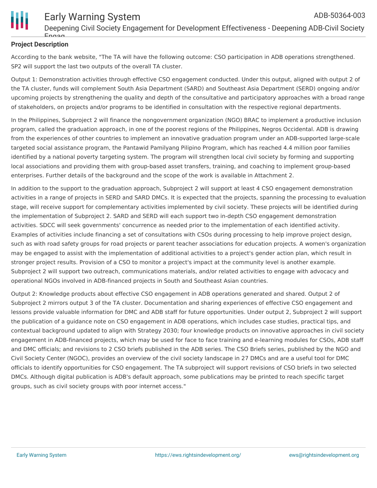

#### **Project Description**

According to the bank website, "The TA will have the following outcome: CSO participation in ADB operations strengthened. SP2 will support the last two outputs of the overall TA cluster.

Output 1: Demonstration activities through effective CSO engagement conducted. Under this output, aligned with output 2 of the TA cluster, funds will complement South Asia Department (SARD) and Southeast Asia Department (SERD) ongoing and/or upcoming projects by strengthening the quality and depth of the consultative and participatory approaches with a broad range of stakeholders, on projects and/or programs to be identified in consultation with the respective regional departments.

In the Philippines, Subproject 2 will finance the nongovernment organization (NGO) BRAC to implement a productive inclusion program, called the graduation approach, in one of the poorest regions of the Philippines, Negros Occidental. ADB is drawing from the experiences of other countries to implement an innovative graduation program under an ADB-supported large-scale targeted social assistance program, the Pantawid Pamilyang Pilipino Program, which has reached 4.4 million poor families identified by a national poverty targeting system. The program will strengthen local civil society by forming and supporting local associations and providing them with group-based asset transfers, training, and coaching to implement group-based enterprises. Further details of the background and the scope of the work is available in Attachment 2.

In addition to the support to the graduation approach, Subproject 2 will support at least 4 CSO engagement demonstration activities in a range of projects in SERD and SARD DMCs. It is expected that the projects, spanning the processing to evaluation stage, will receive support for complementary activities implemented by civil society. These projects will be identified during the implementation of Subproject 2. SARD and SERD will each support two in-depth CSO engagement demonstration activities. SDCC will seek governments' concurrence as needed prior to the implementation of each identified activity. Examples of activities include financing a set of consultations with CSOs during processing to help improve project design, such as with road safety groups for road projects or parent teacher associations for education projects. A women's organization may be engaged to assist with the implementation of additional activities to a project's gender action plan, which result in stronger project results. Provision of a CSO to monitor a project's impact at the community level is another example. Subproject 2 will support two outreach, communications materials, and/or related activities to engage with advocacy and operational NGOs involved in ADB-financed projects in South and Southeast Asian countries.

Output 2: Knowledge products about effective CSO engagement in ADB operations generated and shared. Output 2 of Subproject 2 mirrors output 3 of the TA cluster. Documentation and sharing experiences of effective CSO engagement and lessons provide valuable information for DMC and ADB staff for future opportunities. Under output 2, Subproject 2 will support the publication of a guidance note on CSO engagement in ADB operations, which includes case studies, practical tips, and contextual background updated to align with Strategy 2030; four knowledge products on innovative approaches in civil society engagement in ADB-financed projects, which may be used for face to face training and e-learning modules for CSOs, ADB staff and DMC officials; and revisions to 2 CSO briefs published in the ADB series. The CSO Briefs series, published by the NGO and Civil Society Center (NGOC), provides an overview of the civil society landscape in 27 DMCs and are a useful tool for DMC officials to identify opportunities for CSO engagement. The TA subproject will support revisions of CSO briefs in two selected DMCs. Although digital publication is ADB's default approach, some publications may be printed to reach specific target groups, such as civil society groups with poor internet access."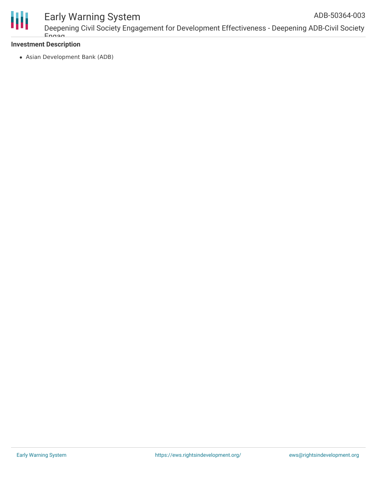

#### **Investment Description**

Engag

Asian Development Bank (ADB)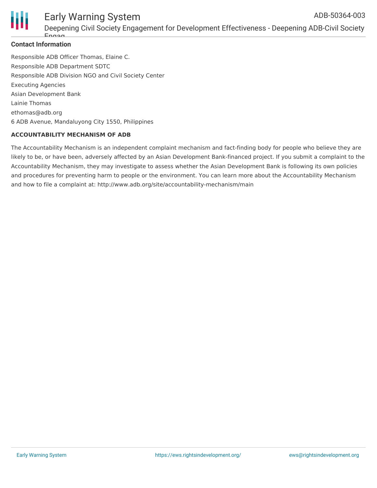

#### **Contact Information**

Responsible ADB Officer Thomas, Elaine C. Responsible ADB Department SDTC Responsible ADB Division NGO and Civil Society Center Executing Agencies Asian Development Bank Lainie Thomas ethomas@adb.org 6 ADB Avenue, Mandaluyong City 1550, Philippines

#### **ACCOUNTABILITY MECHANISM OF ADB**

The Accountability Mechanism is an independent complaint mechanism and fact-finding body for people who believe they are likely to be, or have been, adversely affected by an Asian Development Bank-financed project. If you submit a complaint to the Accountability Mechanism, they may investigate to assess whether the Asian Development Bank is following its own policies and procedures for preventing harm to people or the environment. You can learn more about the Accountability Mechanism and how to file a complaint at: http://www.adb.org/site/accountability-mechanism/main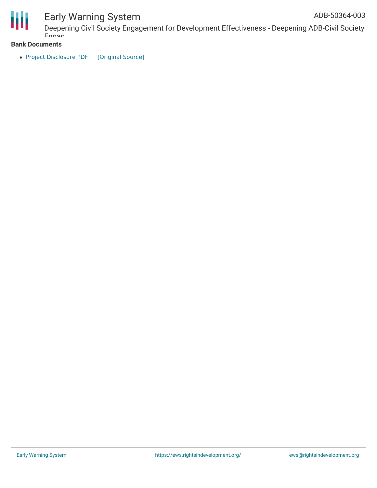

## Early Warning System

Deepening Civil Society Engagement for Development Effectiveness - Deepening ADB-Civil Society Engag ADB-50364-003

**Bank Documents**

• Project [Disclosure](https://ewsdata.rightsindevelopment.org/files/documents/03/ADB-50364-003.pdf) PDF [\[Original](https://www.adb.org/printpdf/projects/50364-003/main) Source]